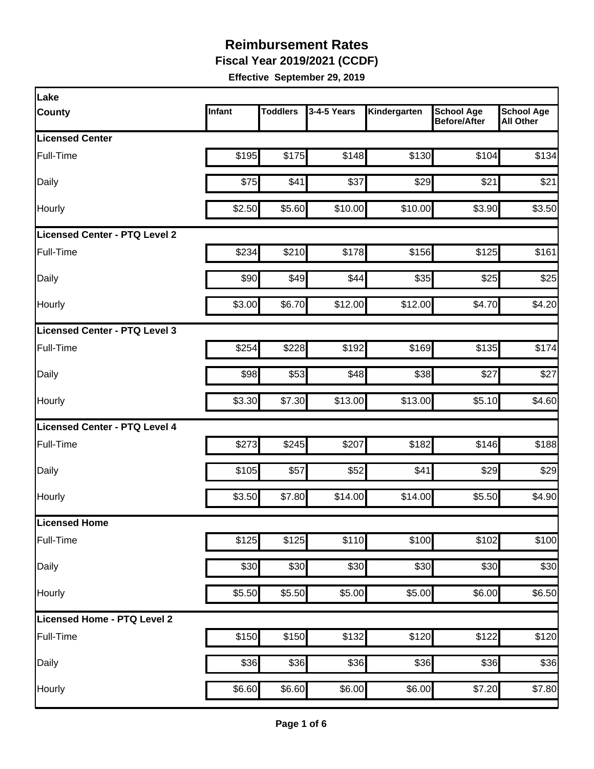**Fiscal Year 2019/2021 (CCDF)** 

| Lake                                 |        |                 |             |              |                                          |                                       |
|--------------------------------------|--------|-----------------|-------------|--------------|------------------------------------------|---------------------------------------|
| <b>County</b>                        | Infant | <b>Toddlers</b> | 3-4-5 Years | Kindergarten | <b>School Age</b><br><b>Before/After</b> | <b>School Age</b><br><b>All Other</b> |
| <b>Licensed Center</b>               |        |                 |             |              |                                          |                                       |
| Full-Time                            | \$195  | \$175           | \$148       | \$130        | \$104                                    | \$134                                 |
| Daily                                | \$75   | \$41            | \$37        | \$29         | \$21                                     | \$21                                  |
| Hourly                               | \$2.50 | \$5.60          | \$10.00     | \$10.00      | \$3.90                                   | \$3.50                                |
| <b>Licensed Center - PTQ Level 2</b> |        |                 |             |              |                                          |                                       |
| Full-Time                            | \$234  | \$210           | \$178       | \$156        | \$125                                    | \$161                                 |
| Daily                                | \$90   | \$49            | \$44        | \$35         | \$25                                     | \$25                                  |
| Hourly                               | \$3.00 | \$6.70          | \$12.00     | \$12.00      | \$4.70                                   | \$4.20                                |
| Licensed Center - PTQ Level 3        |        |                 |             |              |                                          |                                       |
| Full-Time                            | \$254  | \$228           | \$192       | \$169        | \$135                                    | \$174                                 |
| Daily                                | \$98   | \$53            | \$48        | \$38         | \$27                                     | \$27                                  |
| Hourly                               | \$3.30 | \$7.30          | \$13.00     | \$13.00      | \$5.10                                   | \$4.60                                |
| <b>Licensed Center - PTQ Level 4</b> |        |                 |             |              |                                          |                                       |
| Full-Time                            | \$273  | \$245           | \$207       | \$182        | \$146                                    | \$188                                 |
| Daily                                | \$105  | \$57            | \$52        | \$41         | \$29                                     | \$29                                  |
| Hourly                               | \$3.50 | \$7.80          | \$14.00     | \$14.00      | \$5.50                                   | \$4.90                                |
| Licensed Home                        |        |                 |             |              |                                          |                                       |
| Full-Time                            | \$125  | \$125           | \$110       | \$100        | \$102                                    | \$100                                 |
| Daily                                | \$30   | \$30            | \$30        | \$30         | \$30                                     | \$30                                  |
| Hourly                               | \$5.50 | \$5.50          | \$5.00      | \$5.00       | \$6.00                                   | \$6.50                                |
| Licensed Home - PTQ Level 2          |        |                 |             |              |                                          |                                       |
| Full-Time                            | \$150  | \$150           | \$132       | \$120        | \$122                                    | \$120                                 |
| Daily                                | \$36   | \$36            | \$36        | \$36         | \$36                                     | \$36                                  |
| Hourly                               | \$6.60 | \$6.60          | \$6.00      | \$6.00       | \$7.20                                   | \$7.80                                |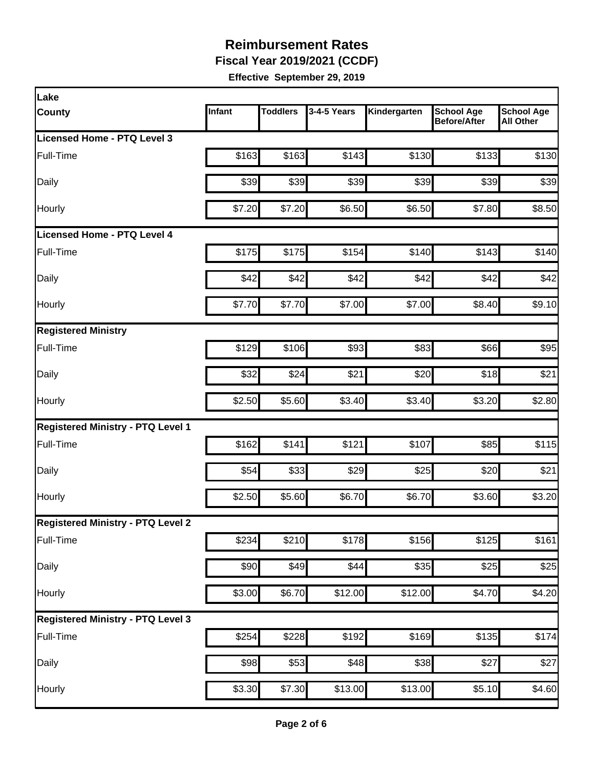**Fiscal Year 2019/2021 (CCDF)** 

| Lake                                     |        |                 |             |              |                                   |                                       |
|------------------------------------------|--------|-----------------|-------------|--------------|-----------------------------------|---------------------------------------|
| <b>County</b>                            | Infant | <b>Toddlers</b> | 3-4-5 Years | Kindergarten | <b>School Age</b><br>Before/After | <b>School Age</b><br><b>All Other</b> |
| Licensed Home - PTQ Level 3              |        |                 |             |              |                                   |                                       |
| Full-Time                                | \$163  | \$163           | \$143       | \$130        | \$133                             | \$130                                 |
| Daily                                    | \$39   | \$39            | \$39        | \$39         | \$39                              | \$39                                  |
| Hourly                                   | \$7.20 | \$7.20          | \$6.50      | \$6.50       | \$7.80                            | \$8.50                                |
| <b>Licensed Home - PTQ Level 4</b>       |        |                 |             |              |                                   |                                       |
| Full-Time                                | \$175  | \$175           | \$154       | \$140        | \$143                             | \$140                                 |
| Daily                                    | \$42   | \$42            | \$42        | \$42         | \$42                              | \$42                                  |
| Hourly                                   | \$7.70 | \$7.70          | \$7.00      | \$7.00       | \$8.40                            | \$9.10                                |
| <b>Registered Ministry</b>               |        |                 |             |              |                                   |                                       |
| Full-Time                                | \$129  | \$106           | \$93        | \$83         | \$66                              | \$95                                  |
| Daily                                    | \$32   | \$24            | \$21        | \$20         | \$18                              | \$21                                  |
| Hourly                                   | \$2.50 | \$5.60          | \$3.40      | \$3.40       | \$3.20                            | \$2.80                                |
| <b>Registered Ministry - PTQ Level 1</b> |        |                 |             |              |                                   |                                       |
| Full-Time                                | \$162  | \$141           | \$121       | \$107        | \$85                              | \$115                                 |
| Daily                                    | \$54   | \$33            | \$29        | \$25         | \$20                              | \$21                                  |
| Hourly                                   | \$2.50 | \$5.60          | \$6.70      | \$6.70       | \$3.60                            | \$3.20                                |
| <b>Registered Ministry - PTQ Level 2</b> |        |                 |             |              |                                   |                                       |
| Full-Time                                | \$234  | \$210           | \$178       | \$156        | \$125                             | \$161                                 |
| <b>Daily</b>                             | \$90   | \$49            | \$44        | \$35         | \$25                              | \$25                                  |
| Hourly                                   | \$3.00 | \$6.70          | \$12.00     | \$12.00      | \$4.70                            | \$4.20                                |
| <b>Registered Ministry - PTQ Level 3</b> |        |                 |             |              |                                   |                                       |
| Full-Time                                | \$254  | \$228]          | \$192       | \$169        | \$135                             | \$174                                 |
| Daily                                    | \$98   | \$53            | \$48        | \$38         | \$27                              | \$27                                  |
| Hourly                                   | \$3.30 | \$7.30          | \$13.00     | \$13.00      | \$5.10                            | \$4.60                                |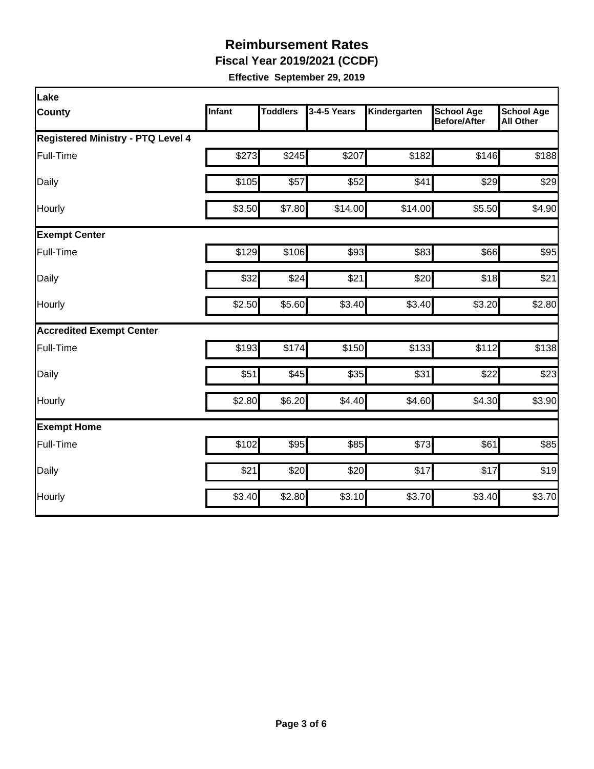**Fiscal Year 2019/2021 (CCDF)** 

| Lake                                     |        |                 |             |              |                                          |                                       |
|------------------------------------------|--------|-----------------|-------------|--------------|------------------------------------------|---------------------------------------|
| <b>County</b>                            | Infant | <b>Toddlers</b> | 3-4-5 Years | Kindergarten | <b>School Age</b><br><b>Before/After</b> | <b>School Age</b><br><b>All Other</b> |
| <b>Registered Ministry - PTQ Level 4</b> |        |                 |             |              |                                          |                                       |
| Full-Time                                | \$273  | \$245           | \$207       | \$182        | \$146                                    | \$188                                 |
| Daily                                    | \$105  | \$57            | \$52        | \$41         | \$29                                     | \$29                                  |
| Hourly                                   | \$3.50 | \$7.80          | \$14.00     | \$14.00      | \$5.50                                   | \$4.90                                |
| <b>Exempt Center</b>                     |        |                 |             |              |                                          |                                       |
| Full-Time                                | \$129  | \$106           | \$93        | \$83         | \$66                                     | \$95                                  |
| Daily                                    | \$32   | \$24            | \$21        | \$20         | \$18                                     | \$21                                  |
| Hourly                                   | \$2.50 | \$5.60          | \$3.40      | \$3.40       | \$3.20                                   | \$2.80                                |
| <b>Accredited Exempt Center</b>          |        |                 |             |              |                                          |                                       |
| Full-Time                                | \$193  | \$174           | \$150       | \$133        | \$112                                    | \$138                                 |
| Daily                                    | \$51   | \$45            | \$35        | \$31         | \$22                                     | \$23                                  |
| Hourly                                   | \$2.80 | \$6.20          | \$4.40      | \$4.60       | \$4.30                                   | \$3.90                                |
| <b>Exempt Home</b>                       |        |                 |             |              |                                          |                                       |
| Full-Time                                | \$102  | \$95            | \$85        | \$73         | \$61                                     | \$85                                  |
| Daily                                    | \$21   | \$20            | \$20        | \$17         | \$17                                     | \$19                                  |
| Hourly                                   | \$3.40 | \$2.80          | \$3.10      | \$3.70       | \$3.40                                   | \$3.70                                |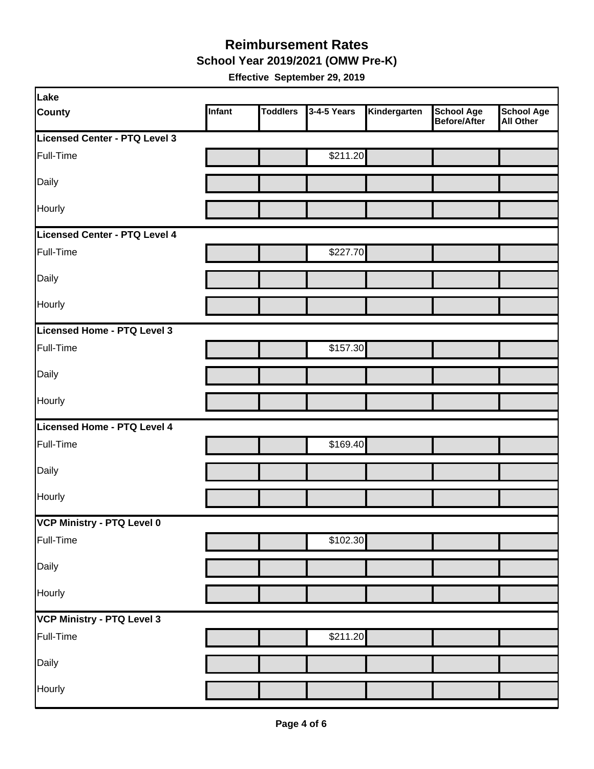**School Year 2019/2021 (OMW Pre-K)** 

| Lake                              |        |                 |             |              |                                   |                         |
|-----------------------------------|--------|-----------------|-------------|--------------|-----------------------------------|-------------------------|
| <b>County</b>                     | Infant | <b>Toddlers</b> | 3-4-5 Years | Kindergarten | <b>School Age</b><br>Before/After | School Age<br>All Other |
| Licensed Center - PTQ Level 3     |        |                 |             |              |                                   |                         |
| Full-Time                         |        |                 | \$211.20    |              |                                   |                         |
| Daily                             |        |                 |             |              |                                   |                         |
| Hourly                            |        |                 |             |              |                                   |                         |
| Licensed Center - PTQ Level 4     |        |                 |             |              |                                   |                         |
| Full-Time                         |        |                 | \$227.70    |              |                                   |                         |
| Daily                             |        |                 |             |              |                                   |                         |
| Hourly                            |        |                 |             |              |                                   |                         |
| Licensed Home - PTQ Level 3       |        |                 |             |              |                                   |                         |
| Full-Time                         |        |                 | \$157.30    |              |                                   |                         |
| Daily                             |        |                 |             |              |                                   |                         |
| Hourly                            |        |                 |             |              |                                   |                         |
| Licensed Home - PTQ Level 4       |        |                 |             |              |                                   |                         |
| Full-Time                         |        |                 | \$169.40    |              |                                   |                         |
| Daily                             |        |                 |             |              |                                   |                         |
| Hourly                            |        |                 |             |              |                                   |                         |
| VCP Ministry - PTQ Level 0        |        |                 |             |              |                                   |                         |
| Full-Time                         |        |                 | \$102.30    |              |                                   |                         |
| Daily                             |        |                 |             |              |                                   |                         |
| Hourly                            |        |                 |             |              |                                   |                         |
| <b>VCP Ministry - PTQ Level 3</b> |        |                 |             |              |                                   |                         |
| Full-Time                         |        |                 | \$211.20    |              |                                   |                         |
| Daily                             |        |                 |             |              |                                   |                         |
| Hourly                            |        |                 |             |              |                                   |                         |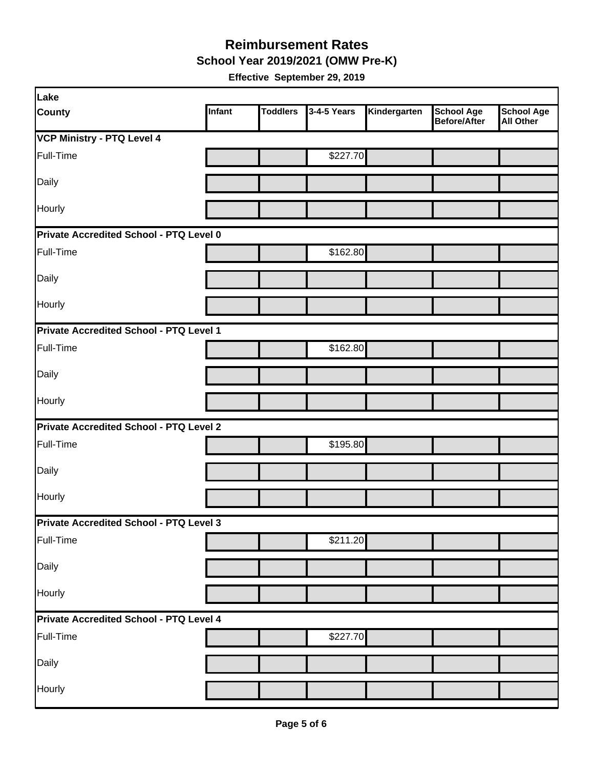**School Year 2019/2021 (OMW Pre-K)** 

| Lake                                           |        |                 |             |              |                                          |                                       |  |  |
|------------------------------------------------|--------|-----------------|-------------|--------------|------------------------------------------|---------------------------------------|--|--|
| <b>County</b>                                  | Infant | <b>Toddlers</b> | 3-4-5 Years | Kindergarten | <b>School Age</b><br><b>Before/After</b> | <b>School Age</b><br><b>All Other</b> |  |  |
| <b>VCP Ministry - PTQ Level 4</b>              |        |                 |             |              |                                          |                                       |  |  |
| Full-Time                                      |        |                 | \$227.70    |              |                                          |                                       |  |  |
| Daily                                          |        |                 |             |              |                                          |                                       |  |  |
| Hourly                                         |        |                 |             |              |                                          |                                       |  |  |
| Private Accredited School - PTQ Level 0        |        |                 |             |              |                                          |                                       |  |  |
| Full-Time                                      |        |                 | \$162.80    |              |                                          |                                       |  |  |
| Daily                                          |        |                 |             |              |                                          |                                       |  |  |
| Hourly                                         |        |                 |             |              |                                          |                                       |  |  |
| Private Accredited School - PTQ Level 1        |        |                 |             |              |                                          |                                       |  |  |
| Full-Time                                      |        |                 | \$162.80    |              |                                          |                                       |  |  |
| Daily                                          |        |                 |             |              |                                          |                                       |  |  |
| Hourly                                         |        |                 |             |              |                                          |                                       |  |  |
| <b>Private Accredited School - PTQ Level 2</b> |        |                 |             |              |                                          |                                       |  |  |
| Full-Time                                      |        |                 | \$195.80    |              |                                          |                                       |  |  |
| Daily                                          |        |                 |             |              |                                          |                                       |  |  |
| Hourly                                         |        |                 |             |              |                                          |                                       |  |  |
| Private Accredited School - PTQ Level 3        |        |                 |             |              |                                          |                                       |  |  |
| Full-Time                                      |        |                 | \$211.20    |              |                                          |                                       |  |  |
| Daily                                          |        |                 |             |              |                                          |                                       |  |  |
| Hourly                                         |        |                 |             |              |                                          |                                       |  |  |
| Private Accredited School - PTQ Level 4        |        |                 |             |              |                                          |                                       |  |  |
| Full-Time                                      |        |                 | \$227.70    |              |                                          |                                       |  |  |
| Daily                                          |        |                 |             |              |                                          |                                       |  |  |
| Hourly                                         |        |                 |             |              |                                          |                                       |  |  |